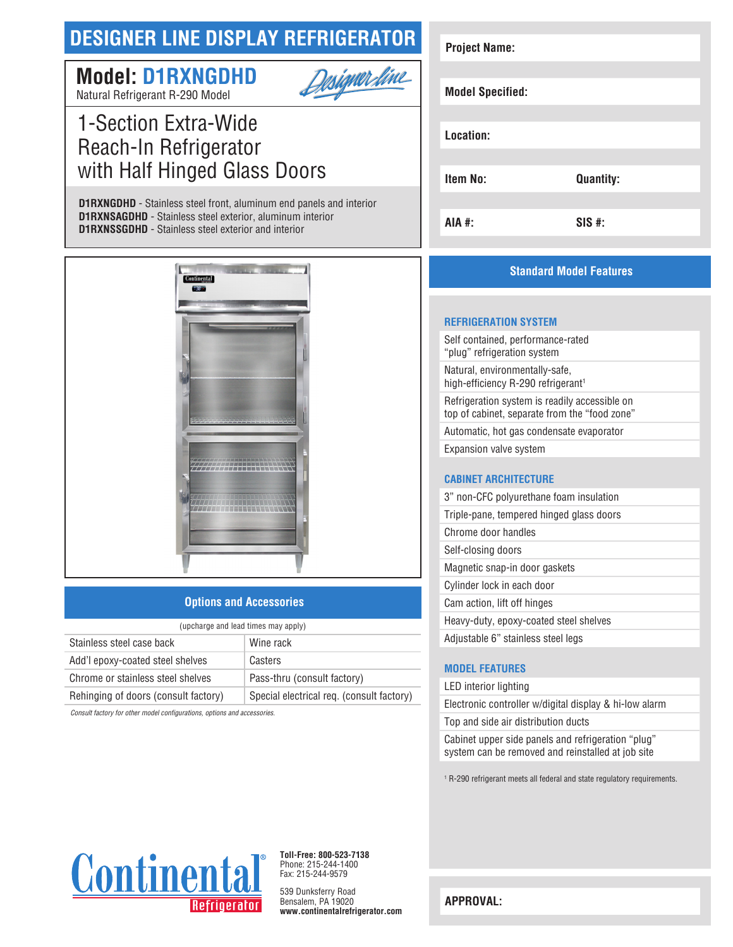# **DESIGNER LINE DISPLAY REFRIGERATOR**

## <u> Designer dine</u> **Model: D1RXNGDHD**

Natural Refrigerant R-290 Model

## 1-Section Extra-Wide Reach-In Refrigerator with Half Hinged Glass Doors

**D1RXNGDHD** - Stainless steel front, aluminum end panels and interior **D1RXNSAGDHD** - Stainless steel exterior, aluminum interior **D1RXNSSGDHD** - Stainless steel exterior and interior



### **Options and Accessories**

| (upcharge and lead times may apply)  |                                           |  |
|--------------------------------------|-------------------------------------------|--|
| Stainless steel case back            | Wine rack                                 |  |
| Add'l epoxy-coated steel shelves     | Casters                                   |  |
| Chrome or stainless steel shelves    | Pass-thru (consult factory)               |  |
| Rehinging of doors (consult factory) | Special electrical req. (consult factory) |  |
|                                      |                                           |  |

*Consult factory for other model configurations, options and accessories.*

| <b>Project Name:</b>    |                  |
|-------------------------|------------------|
|                         |                  |
| <b>Model Specified:</b> |                  |
|                         |                  |
| Location:               |                  |
|                         |                  |
| <b>Item No:</b>         | <b>Quantity:</b> |
|                         |                  |
| <b>AIA #:</b>           | $SIS$ #:         |

## **Standard Model Features**

#### **REFRIGERATION SYSTEM**

Self contained, performance-rated "plug" refrigeration system Natural, environmentally-safe, high-efficiency R-290 refrigerant<sup>1</sup> Refrigeration system is readily accessible on top of cabinet, separate from the "food zone" Automatic, hot gas condensate evaporator Expansion valve system

#### **CABINET ARCHITECTURE**

| 3" non-CFC polyurethane foam insulation  |
|------------------------------------------|
| Triple-pane, tempered hinged glass doors |
| Chrome door handles                      |
| Self-closing doors                       |
| Magnetic snap-in door gaskets            |
| Cylinder lock in each door               |
| Cam action, lift off hinges              |
| Heavy-duty, epoxy-coated steel shelves   |
| Adjustable 6" stainless steel legs       |

### **MODEL FEATURES**

LED interior lighting

Electronic controller w/digital display & hi-low alarm

Top and side air distribution ducts

Cabinet upper side panels and refrigeration "plug" system can be removed and reinstalled at job site

1 R-290 refrigerant meets all federal and state regulatory requirements.



**Toll-Free: 800-523-7138** Phone: 215-244-1400 Fax: 215-244-9579

539 Dunksferry Road Bensalem, PA 19020 **www.continentalrefrigerator.com** 

**APPROVAL:**